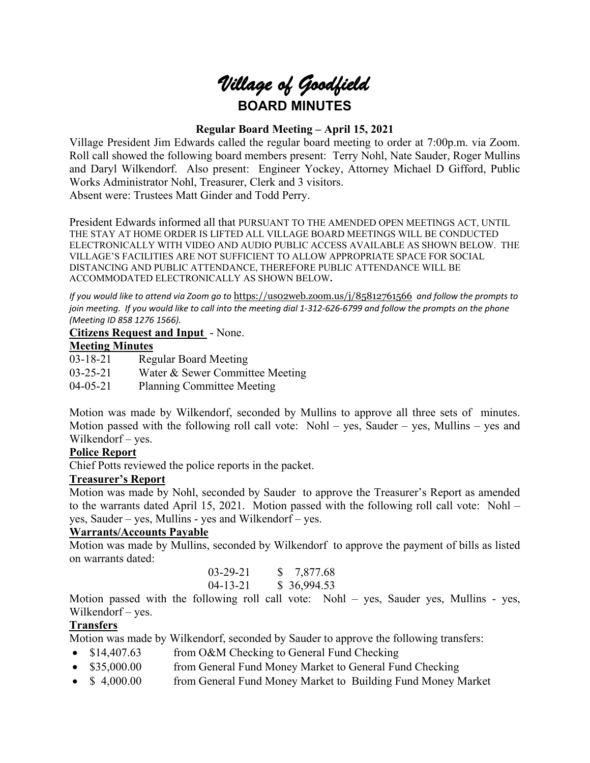# *Village of Goodfield* **BOARD MINUTES**

# **Regular Board Meeting – April 15, 2021**

Village President Jim Edwards called the regular board meeting to order at 7:00p.m. via Zoom. Roll call showed the following board members present: Terry Nohl, Nate Sauder, Roger Mullins and Daryl Wilkendorf. Also present: Engineer Yockey, Attorney Michael D Gifford, Public Works Administrator Nohl, Treasurer, Clerk and 3 visitors. Absent were: Trustees Matt Ginder and Todd Perry.

President Edwards informed all that PURSUANT TO THE AMENDED OPEN MEETINGS ACT, UNTIL THE STAY AT HOME ORDER IS LIFTED ALL VILLAGE BOARD MEETINGS WILL BE CONDUCTED ELECTRONICALLY WITH VIDEO AND AUDIO PUBLIC ACCESS AVAILABLE AS SHOWN BELOW. THE VILLAGE'S FACILITIES ARE NOT SUFFICIENT TO ALLOW APPROPRIATE SPACE FOR SOCIAL DISTANCING AND PUBLIC ATTENDANCE, THEREFORE PUBLIC ATTENDANCE WILL BE ACCOMMODATED ELECTRONICALLY AS SHOWN BELOW**.**

*If you would like to attend via Zoom go to* <https://us02web.zoom.us/j/85812761566> *and follow the prompts to join meeting. If you would like to call into the meeting dial 1-312-626-6799 and follow the prompts on the phone (Meeting ID 858 1276 1566).*

#### **Citizens Request and Input** - None.

# **Meeting Minutes**

03-18-21 Regular Board Meeting 03-25-21 Water & Sewer Committee Meeting 04-05-21 Planning Committee Meeting

Motion was made by Wilkendorf, seconded by Mullins to approve all three sets of minutes. Motion passed with the following roll call vote: Nohl – yes, Sauder – yes, Mullins – yes and Wilkendorf – yes.

## **Police Report**

Chief Potts reviewed the police reports in the packet.

#### **Treasurer's Report**

Motion was made by Nohl, seconded by Sauder to approve the Treasurer's Report as amended to the warrants dated April 15, 2021. Motion passed with the following roll call vote: Nohl – yes, Sauder – yes, Mullins - yes and Wilkendorf – yes.

#### **Warrants/Accounts Payable**

Motion was made by Mullins, seconded by Wilkendorf to approve the payment of bills as listed on warrants dated:

| $03 - 29 - 21$ | \$7,877.68  |
|----------------|-------------|
| $04 - 13 - 21$ | \$36,994.53 |

Motion passed with the following roll call vote: Nohl – yes, Sauder yes, Mullins - yes, Wilkendorf – yes.

#### **Transfers**

Motion was made by Wilkendorf, seconded by Sauder to approve the following transfers:

- \$14,407.63 from O&M Checking to General Fund Checking
- \$35,000.00 from General Fund Money Market to General Fund Checking
- \$ 4,000.00 from General Fund Money Market to Building Fund Money Market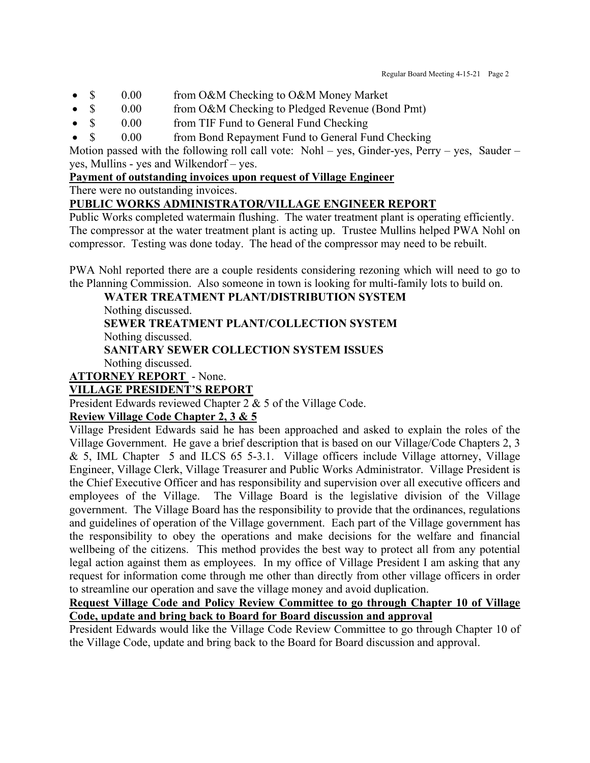- \$ 0.00 from O&M Checking to O&M Money Market
- \$ 0.00 from O&M Checking to Pledged Revenue (Bond Pmt)
- \$ 0.00 from TIF Fund to General Fund Checking
- \$ 0.00 from Bond Repayment Fund to General Fund Checking

Motion passed with the following roll call vote: Nohl – yes, Ginder-yes, Perry – yes, Sauder – yes, Mullins - yes and Wilkendorf – yes.

# **Payment of outstanding invoices upon request of Village Engineer**

There were no outstanding invoices.

# **PUBLIC WORKS ADMINISTRATOR/VILLAGE ENGINEER REPORT**

Public Works completed watermain flushing. The water treatment plant is operating efficiently. The compressor at the water treatment plant is acting up. Trustee Mullins helped PWA Nohl on compressor. Testing was done today. The head of the compressor may need to be rebuilt.

PWA Nohl reported there are a couple residents considering rezoning which will need to go to the Planning Commission. Also someone in town is looking for multi-family lots to build on.

**WATER TREATMENT PLANT/DISTRIBUTION SYSTEM**

Nothing discussed.

**SEWER TREATMENT PLANT/COLLECTION SYSTEM** Nothing discussed.

**SANITARY SEWER COLLECTION SYSTEM ISSUES** Nothing discussed.

**ATTORNEY REPORT** - None.

# **VILLAGE PRESIDENT'S REPORT**

President Edwards reviewed Chapter 2 & 5 of the Village Code.

# **Review Village Code Chapter 2, 3 & 5**

Village President Edwards said he has been approached and asked to explain the roles of the Village Government. He gave a brief description that is based on our Village/Code Chapters 2, 3 & 5, IML Chapter 5 and ILCS 65 5-3.1. Village officers include Village attorney, Village Engineer, Village Clerk, Village Treasurer and Public Works Administrator. Village President is the Chief Executive Officer and has responsibility and supervision over all executive officers and employees of the Village. The Village Board is the legislative division of the Village government. The Village Board has the responsibility to provide that the ordinances, regulations and guidelines of operation of the Village government. Each part of the Village government has the responsibility to obey the operations and make decisions for the welfare and financial wellbeing of the citizens. This method provides the best way to protect all from any potential legal action against them as employees. In my office of Village President I am asking that any request for information come through me other than directly from other village officers in order to streamline our operation and save the village money and avoid duplication.

**Request Village Code and Policy Review Committee to go through Chapter 10 of Village Code, update and bring back to Board for Board discussion and approval** 

President Edwards would like the Village Code Review Committee to go through Chapter 10 of the Village Code, update and bring back to the Board for Board discussion and approval.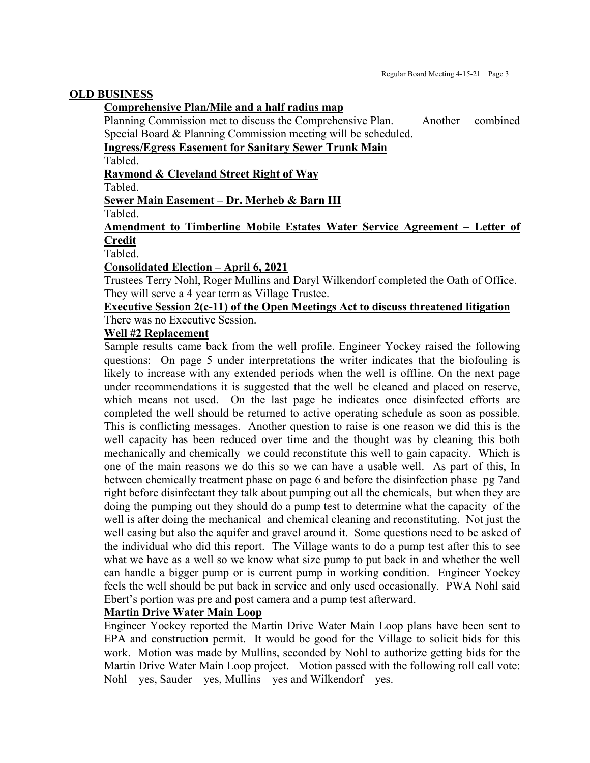#### **OLD BUSINESS**

#### **Comprehensive Plan/Mile and a half radius map**

Planning Commission met to discuss the Comprehensive Plan. Another combined Special Board & Planning Commission meeting will be scheduled.

**Ingress/Egress Easement for Sanitary Sewer Trunk Main**

Tabled.

**Raymond & Cleveland Street Right of Way**

Tabled.

#### **Sewer Main Easement – Dr. Merheb & Barn III**

Tabled.

# **Amendment to Timberline Mobile Estates Water Service Agreement – Letter of Credit**

Tabled.

#### **Consolidated Election – April 6, 2021**

Trustees Terry Nohl, Roger Mullins and Daryl Wilkendorf completed the Oath of Office. They will serve a 4 year term as Village Trustee.

#### **Executive Session 2(c-11) of the Open Meetings Act to discuss threatened litigation** There was no Executive Session.

#### **Well #2 Replacement**

Sample results came back from the well profile. Engineer Yockey raised the following questions: On page 5 under interpretations the writer indicates that the biofouling is likely to increase with any extended periods when the well is offline. On the next page under recommendations it is suggested that the well be cleaned and placed on reserve, which means not used. On the last page he indicates once disinfected efforts are completed the well should be returned to active operating schedule as soon as possible. This is conflicting messages. Another question to raise is one reason we did this is the well capacity has been reduced over time and the thought was by cleaning this both mechanically and chemically we could reconstitute this well to gain capacity. Which is one of the main reasons we do this so we can have a usable well. As part of this, In between chemically treatment phase on page 6 and before the disinfection phase pg 7and right before disinfectant they talk about pumping out all the chemicals, but when they are doing the pumping out they should do a pump test to determine what the capacity of the well is after doing the mechanical and chemical cleaning and reconstituting. Not just the well casing but also the aquifer and gravel around it. Some questions need to be asked of the individual who did this report. The Village wants to do a pump test after this to see what we have as a well so we know what size pump to put back in and whether the well can handle a bigger pump or is current pump in working condition. Engineer Yockey feels the well should be put back in service and only used occasionally. PWA Nohl said Ebert's portion was pre and post camera and a pump test afterward.

#### **Martin Drive Water Main Loop**

Engineer Yockey reported the Martin Drive Water Main Loop plans have been sent to EPA and construction permit. It would be good for the Village to solicit bids for this work. Motion was made by Mullins, seconded by Nohl to authorize getting bids for the Martin Drive Water Main Loop project. Motion passed with the following roll call vote:  $Nohl - yes$ , Sauder – yes, Mullins – yes and Wilkendorf – yes.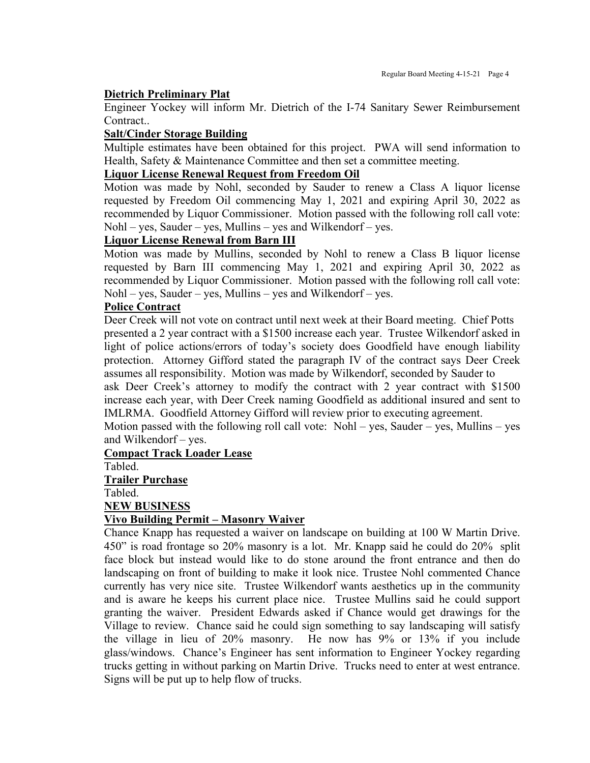#### **Dietrich Preliminary Plat**

Engineer Yockey will inform Mr. Dietrich of the I-74 Sanitary Sewer Reimbursement Contract..

#### **Salt/Cinder Storage Building**

Multiple estimates have been obtained for this project. PWA will send information to Health, Safety & Maintenance Committee and then set a committee meeting.

#### **Liquor License Renewal Request from Freedom Oil**

Motion was made by Nohl, seconded by Sauder to renew a Class A liquor license requested by Freedom Oil commencing May 1, 2021 and expiring April 30, 2022 as recommended by Liquor Commissioner. Motion passed with the following roll call vote:  $Nohl - yes$ , Sauder – yes, Mullins – yes and Wilkendorf – yes.

### **Liquor License Renewal from Barn III**

Motion was made by Mullins, seconded by Nohl to renew a Class B liquor license requested by Barn III commencing May 1, 2021 and expiring April 30, 2022 as recommended by Liquor Commissioner. Motion passed with the following roll call vote:  $Nohl - yes$ , Sauder – yes, Mullins – yes and Wilkendorf – yes.

#### **Police Contract**

Deer Creek will not vote on contract until next week at their Board meeting. Chief Potts presented a 2 year contract with a \$1500 increase each year. Trustee Wilkendorf asked in light of police actions/errors of today's society does Goodfield have enough liability protection. Attorney Gifford stated the paragraph IV of the contract says Deer Creek assumes all responsibility. Motion was made by Wilkendorf, seconded by Sauder to

ask Deer Creek's attorney to modify the contract with 2 year contract with \$1500 increase each year, with Deer Creek naming Goodfield as additional insured and sent to IMLRMA. Goodfield Attorney Gifford will review prior to executing agreement.

Motion passed with the following roll call vote:  $Nohl - yes$ , Sauder – yes, Mullins – yes and Wilkendorf – yes.

#### **Compact Track Loader Lease**

Tabled.

#### **Trailer Purchase**

Tabled.

**NEW BUSINESS**

#### **Vivo Building Permit – Masonry Waiver**

Chance Knapp has requested a waiver on landscape on building at 100 W Martin Drive. 450" is road frontage so 20% masonry is a lot. Mr. Knapp said he could do 20% split face block but instead would like to do stone around the front entrance and then do landscaping on front of building to make it look nice. Trustee Nohl commented Chance currently has very nice site. Trustee Wilkendorf wants aesthetics up in the community and is aware he keeps his current place nice. Trustee Mullins said he could support granting the waiver. President Edwards asked if Chance would get drawings for the Village to review. Chance said he could sign something to say landscaping will satisfy the village in lieu of 20% masonry. He now has 9% or 13% if you include glass/windows. Chance's Engineer has sent information to Engineer Yockey regarding trucks getting in without parking on Martin Drive. Trucks need to enter at west entrance. Signs will be put up to help flow of trucks.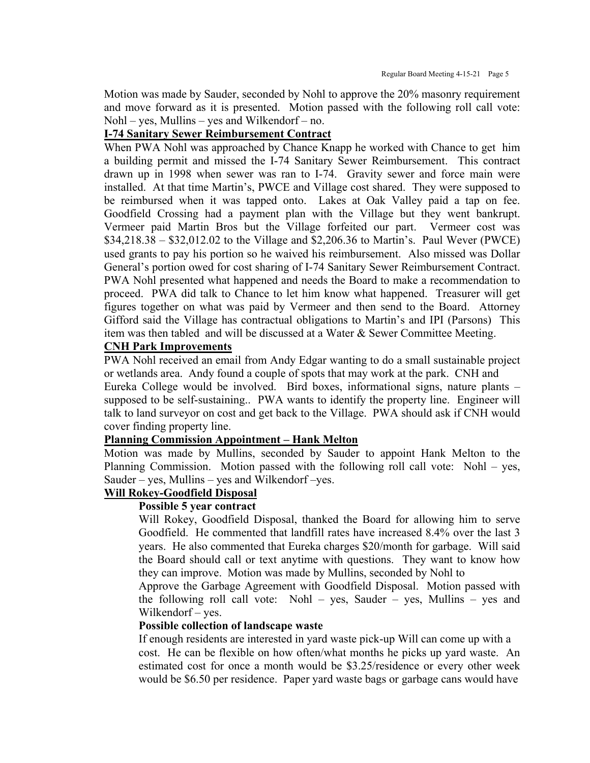Motion was made by Sauder, seconded by Nohl to approve the 20% masonry requirement and move forward as it is presented. Motion passed with the following roll call vote: Nohl – yes, Mullins – yes and Wilkendorf – no.

#### **I-74 Sanitary Sewer Reimbursement Contract**

When PWA Nohl was approached by Chance Knapp he worked with Chance to get him a building permit and missed the I-74 Sanitary Sewer Reimbursement. This contract drawn up in 1998 when sewer was ran to I-74. Gravity sewer and force main were installed. At that time Martin's, PWCE and Village cost shared. They were supposed to be reimbursed when it was tapped onto. Lakes at Oak Valley paid a tap on fee. Goodfield Crossing had a payment plan with the Village but they went bankrupt. Vermeer paid Martin Bros but the Village forfeited our part. Vermeer cost was \$34,218.38 – \$32,012.02 to the Village and \$2,206.36 to Martin's. Paul Wever (PWCE) used grants to pay his portion so he waived his reimbursement. Also missed was Dollar General's portion owed for cost sharing of I-74 Sanitary Sewer Reimbursement Contract. PWA Nohl presented what happened and needs the Board to make a recommendation to proceed. PWA did talk to Chance to let him know what happened. Treasurer will get figures together on what was paid by Vermeer and then send to the Board. Attorney Gifford said the Village has contractual obligations to Martin's and IPI (Parsons) This item was then tabled and will be discussed at a Water & Sewer Committee Meeting.

#### **CNH Park Improvements**

PWA Nohl received an email from Andy Edgar wanting to do a small sustainable project or wetlands area. Andy found a couple of spots that may work at the park. CNH and Eureka College would be involved. Bird boxes, informational signs, nature plants – supposed to be self-sustaining.. PWA wants to identify the property line. Engineer will talk to land surveyor on cost and get back to the Village. PWA should ask if CNH would cover finding property line.

#### **Planning Commission Appointment – Hank Melton**

Motion was made by Mullins, seconded by Sauder to appoint Hank Melton to the Planning Commission. Motion passed with the following roll call vote: Nohl – yes, Sauder – yes, Mullins – yes and Wilkendorf – yes.

# **Will Rokey-Goodfield Disposal**

#### **Possible 5 year contract**

Will Rokey, Goodfield Disposal, thanked the Board for allowing him to serve Goodfield. He commented that landfill rates have increased 8.4% over the last 3 years. He also commented that Eureka charges \$20/month for garbage. Will said the Board should call or text anytime with questions. They want to know how they can improve. Motion was made by Mullins, seconded by Nohl to

Approve the Garbage Agreement with Goodfield Disposal. Motion passed with the following roll call vote: Nohl – yes, Sauder – yes, Mullins – yes and Wilkendorf – yes.

#### **Possible collection of landscape waste**

If enough residents are interested in yard waste pick-up Will can come up with a cost. He can be flexible on how often/what months he picks up yard waste. An estimated cost for once a month would be \$3.25/residence or every other week would be \$6.50 per residence. Paper yard waste bags or garbage cans would have